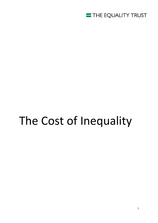

# The Cost of Inequality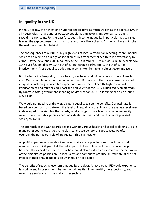## **Inequality in the UK**

In the UK today, the richest one hundred people have as much wealth as the poorest 30% of all households – or around 18,900,000 people. It's an astonishing comparison, but it shouldn't surprise us. For the past forty years, income inequality in particular has spiralled, leaving the gap between the rich and the rest more like a chasm. As the rich have got richer, the rest have been left behind.

The consequences of our unusually high levels of inequality are far-reaching. More unequal societies do worse on a range of social measures from mental health to life expectancy to crime. Of the developed OECD countries, the UK is ranked 17th out of 23 in life expectancy, 19th out of 22 on obesity, 17th out of 21 on teenage births, and 17th out of 23 for imprisonment. More equal societies, meanwhile, top the table in almost every measure.

But the impact of inequality on our health, wellbeing and crime rates also has a financial cost. Our research finds that the impact on the UK of some of the social consequences of inequality, including reduced life expectancy, worse mental health, higher levels of imprisonment and murder could cost the equivalent of over **£39 billion every single year**. By contrast, total government spending on defence for 2013-14 is expected to be around £40 [billion.](https://www.gov.uk/government/uploads/system/uploads/attachment_data/file/221887/budget2013_executive_summary.pdf)

We would not need to entirely eradicate inequality to see the benefits. Our estimate is based on a comparison between the level of inequality in the UK and the average level seen in developed countries. In other words, small changes to our level of income inequality would make the public purse richer, individuals healthier, and the UK a more pleasant society to live in.

The approach of the UK towards dealing with its various health and social problems is, as in many other countries, largely remedial. Where we do look at root causes, we often overlook the pernicious role of inequality. This is a mistake.

All political parties serious about reducing costly social problems must include in their manifesto an explicit goal that the net impact of their policies will be to reduce the gap between the richest and the rest. Parties should also produce an estimate of the net impact of their manifesto policies on UK inequality, and commit to produce an estimate of the net impact of their annual budgets on UK inequality, if elected.

The benefits of reducing economic inequality are clear. A more equal UK would experience less crime and imprisonment, better mental health, higher healthy life expectancy, and would be a socially and financially richer society.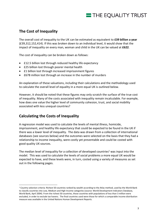# THE EQUALITY TRUST

# **The Cost of Inequality**

The overall cost of inequality to the UK can be estimated as equivalent to **£39 billion a year**  (£39,312,152,414). If this was broken down to an individual level, it would show that the impact of inequality on every man, woman and child in the UK can be valued at **£622**.

The cost of inequality can be broken down as follows:

- £12.5 billion lost through reduced healthy life expectancy
- £25 billion lost through poorer mental health
- **£1 billion lost through increased imprisonment figures**
- £678 million lost through an increase in the number of murders

An explanation of these valuations, including their calculations and the methodology used to calculate the overall level of equality in a more equal UK is outlined below.

However, it should be noted that these figures may only scratch the surface of the true cost of inequality. Many of the costs associated with inequality remain incalculable. For example, how does one value the higher level of community cohesion, trust, and social mobility associated with less unequal countries?

## **Calculating the Costs of Inequality**

<u>.</u>

A regression model was used to calculate the levels of mental illness, homicide, imprisonment, and healthy life expectancy that could be expected to be found in the UK if there was a lower level of inequality. The data was drawn from a collection of international databases (see sources below) and the outcomes were selected on the basis that they had a relationship to income inequality, were costly yet preventable and could be costed with good quality UK sources.

The median level of inequality for a collection of developed countries<sup>1</sup> was input into the model. This was used to calculate the levels of social problems a more equal UK would be expected to have, and these levels were, in turn, costed using a variety of measures as set out in the following pages.

<sup>1</sup> Country selection criteria: Richest 50 countries ranked by wealth according to the Atlas method, used by the World Bank to classify countries into Low, Medium and High Income categories (source: World Development Indicators Database, World Bank, April 2004). From the richest 50 countries, those countries with populations of less than 3 million were excluded, in order to exclude tax havens. The final countries used were those for which a comparable income distribution measure was available in the United Nations Human Development Reports.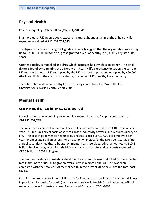# **Physical Health**

#### **Cost of inequality - £12.5 billion (£12,631,728,045)**

In a more equal UK, people could expect an extra eight and a half months of healthy life expectancy, valued at £12,631,728,045.

This figure is calculated using NICE guidelines which suggest that the organisation would pay up to £20,000-£30,000 for a drug that granted a year of healthy life (Quality Adjusted Life Year).

Greater equality is modelled as a drug which increases healthy life expectancy. The total figure is found by comparing the difference in healthy life expectancy between the current UK and a less unequal UK, multiplied by the UK's current population, multiplied by £20,000 (the lower limit of the cost) and divided by the current UK's healthy life expectancy.

The international data on healthy life expectancy comes from the World Health Organisation's World Health Report 2004.

## **Mental Health**

#### **Cost of inequality - £25 billion (£24,935,601,739)**

Reducing inequality would improve people's mental health by five per cent, valued at £24,935,601,739.

The wider economic cost of mental illness in England is estimated to be £105.2 billion each year. This includes direct costs of services, lost productivity at work, and reduced quality of life. The cost of poor mental health to businesses is just over £1,000 per employee per year, or almost £26 billion across the UK economy. In 2008/9, the NHS spent 10.8% of its annual secondary healthcare budget on mental health services, which amounted to £10.4 billion. Service costs, which include NHS, social costs, and informal care costs mounted to £22.5 billion in 2007 in England.

The cost per incidence of mental ill-health in the current UK was multiplied by the expected rate in the more equal UK to give an overall cost in a more equal UK. This was then compared with the total cost of mental health in the current UK to calculate the total cost saving.

Data for the prevalence of mental ill-health (defined as the prevalence of any mental illness in previous 12 months for adults) was drawn from World Health Organization and official national surveys for Australia, New Zealand and Canada for 2001-2003.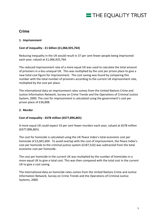# THE EQUALITY TRUST

# **Crime**

### **1. Imprisonment**

### **Cost of inequality - £1 billion (£1,066,925,764)**

Reducing inequality in the UK would result in 37 per cent fewer people being imprisoned each year, valued at £1,066,925,764.

The reduced imprisonment rate of a more equal UK was used to calculate the total amount of prisoners in a less unequal UK. This was multiplied by the cost per prison place to give a new total cost figure for imprisonment. The cost saving was found by comparing this number with the total number of prisoners according to the current UK imprisonment rate, multiplied by the cost per place.

The international data on imprisonment rates comes from the United Nations Crime and Justice Information Network, Survey on Crime Trends and the Operations of Criminal Justice System, 2000. The cost for imprisonment is calculated using the government's cost per prison place of £36,808.

#### **2. Murder**

#### **Cost of inequality - £678 million (£677,896,865)**

A more equal UK could expect 33 per cent fewer murders each year, valued at £678 million (£677,896,865).

The cost for homicide is calculated using the UK Peace Index's total economic cost per homicide of £3,601,604. To avoid overlap with the cost of imprisonment, the Peace Index's cost per homicide to the criminal justice system (£187,510) was subtracted from the total economic cost per homicide.

The cost per homicide in the current UK was multiplied by the number of homicides in a more equal UK to give a total cost. This was then compared with the total cost in the current UK to give a cost saving.

The international data on homicide rates comes from the United Nations Crime and Justice Information Network, Survey on Crime Trends and the Operations of Criminal Justice Systems, 2000.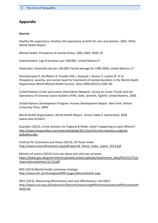# **Appendix**

#### **Sources**

Healthy life expectancy: Healthy Life expectancy at birth for men and women, 2002, WHO, World Health Report

Mental health: Prevalence of mental illness, 2001-2003, WHO 10

Imprisonment: Log of prisoners per 100,000, United Nations17

Homicides: Homicide rate per 100,000, Period average for 1990-2000, United Nations 17

Demyttenaere K, Bruffaerts R, Posada-Villa J, Gasquet I, Kovess V, Lepine JP, et al. Prevalence, severity, and unmet need for treatment of mental disorders in the World Health Organization World Mental Health Surveys. Jama 2004;291(21):2581-90.

United Nations Crime and Justice Information Network. Survey on Crime Trends and the Operations of Criminal Justice Systems (Fifth, Sixth, Seventh, Eighth): United Nations, 2000.

United Nations Development Program. Human Development Report. New York: Oxford University Press, 2004.

World Health Organisation. World Health Report. Annex Table 4. Switzerland, 2004 (www.who.int/whr).

Guardian (2013), Crime statistics for England & Wales: what's happening to each offence? [http://www.theguardian.com/news/datablog/2011/jul/14/crime-statistics-england](http://www.theguardian.com/news/datablog/2011/jul/14/crime-statistics-england-wales#murder)[wales#murder](http://www.theguardian.com/news/datablog/2011/jul/14/crime-statistics-england-wales#murder)

Institute for Economics and Peace (2013), UK Peace Index: [http://www.visionofhumanity.org/pdf/ukpi/UK\\_Peace\\_Index\\_report\\_2013.pdf](http://www.visionofhumanity.org/pdf/ukpi/UK_Peace_Index_report_2013.pdf)

Ministry of Justice (2013) Costs per place and costs per prisoner: [https://www.gov.uk/government/uploads/system/uploads/attachment\\_data/file/251272/p](https://www.gov.uk/government/uploads/system/uploads/attachment_data/file/251272/prison-costs-summary-12-13.pdf) [rison-costs-summary-12-13.pdf](https://www.gov.uk/government/uploads/system/uploads/attachment_data/file/251272/prison-costs-summary-12-13.pdf)

NHS (2014) Mental health outcomes strategy: <http://www.nhs.uk/nhsengland/NSF/pages/Mentalhealth.aspx>

NICE (2013), Measuring effectiveness and cost effectiveness: the QALY: [http://www.nice.org.uk/newsroom/features/measuringeffectivenessandcosteffectivenessth](http://www.nice.org.uk/newsroom/features/measuringeffectivenessandcosteffectivenesstheqaly.jsp) [eqaly.jsp](http://www.nice.org.uk/newsroom/features/measuringeffectivenessandcosteffectivenesstheqaly.jsp)